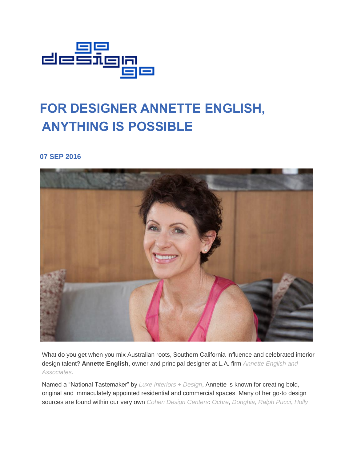

## **FOR DESIGNER ANNETTE ENGLISH, ANYTHING IS POSSIBLE**

**07 SEP 2016**



What do you get when you mix Australian roots, Southern California influence and celebrated interior design talent? **Annette English**, owner and principal designer at L.A. firm *[Annette English and](http://annetteenglish.com/)  [Associates](http://annetteenglish.com/)*.

Named a "National Tastemaker" by *[Luxe Interiors + Design](https://www.luxesource.com/)*, Annette is known for creating bold, original and immaculately appointed residential and commercial spaces. Many of her go-to design sources are found within our very own *[Cohen Design Centers](http://godesigngo.com/cohen-design-centers/)*: *[Ochre](http://www.ochre.net/)*, *[Donghia](http://www.donghia.com/)*, *[Ralph Pucci](https://www.ralphpucci.net/)*, *[Holly](https://www.hollyhunt.com/)*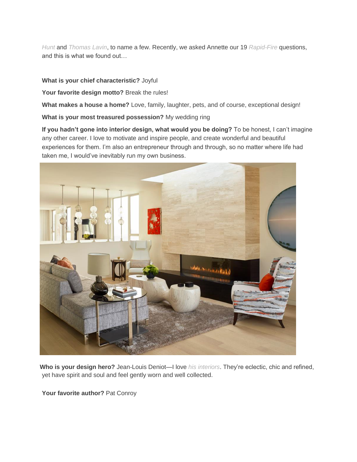*[Hunt](https://www.hollyhunt.com/)* and *[Thomas Lavin](http://www.thomaslavin.com/)*, to name a few. Recently, we asked Annette our 19 *[Rapid-Fire](http://godesigngo.com/category/series/rapid-fire/)* questions, and this is what we found out…

## **What is your chief characteristic?** Joyful

Your favorite design motto? Break the rules!

**What makes a house a home?** Love, family, laughter, pets, and of course, exceptional design!

**What is your most treasured possession?** My wedding ring

**If you hadn't gone into interior design, what would you be doing?** To be honest, I can't imagine any other career. I love to motivate and inspire people, and create wonderful and beautiful experiences for them. I'm also an entrepreneur through and through, so no matter where life had taken me, I would've inevitably run my own business.



**Who is your design hero?** Jean-Louis Deniot—I love *[his interiors](https://www.deniot.com/en/)*. They're eclectic, chic and refined, yet have spirit and soul and feel gently worn and well collected.

**Your favorite author?** Pat Conroy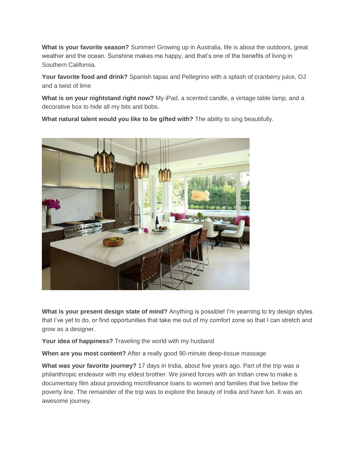**What is your favorite season?** Summer! Growing up in Australia, life is about the outdoors, great weather and the ocean. Sunshine makes me happy, and that's one of the benefits of living in Southern California.

**Your favorite food and drink?** Spanish tapas and Pellegrino with a splash of cranberry juice, OJ and a twist of lime

**What is on your nightstand right now?** My iPad, a scented candle, a vintage table lamp, and a decorative box to hide all my bits and bobs.

**What natural talent would you like to be gifted with?** The ability to sing beautifully.



**What is your present design state of mind?** Anything is possible! I'm yearning to try design styles that I've yet to do, or find opportunities that take me out of my comfort zone so that I can stretch and grow as a designer.

**Your idea of happiness?** Traveling the world with my husband

**When are you most content?** After a really good 90-minute deep-tissue massage

**What was your favorite journey?** 17 days in India, about five years ago. Part of the trip was a philanthropic endeavor with my eldest brother. We joined forces with an Indian crew to make a documentary film about providing microfinance loans to women and families that live below the poverty line. The remainder of the trip was to explore the beauty of India and have fun. It was an awesome journey.